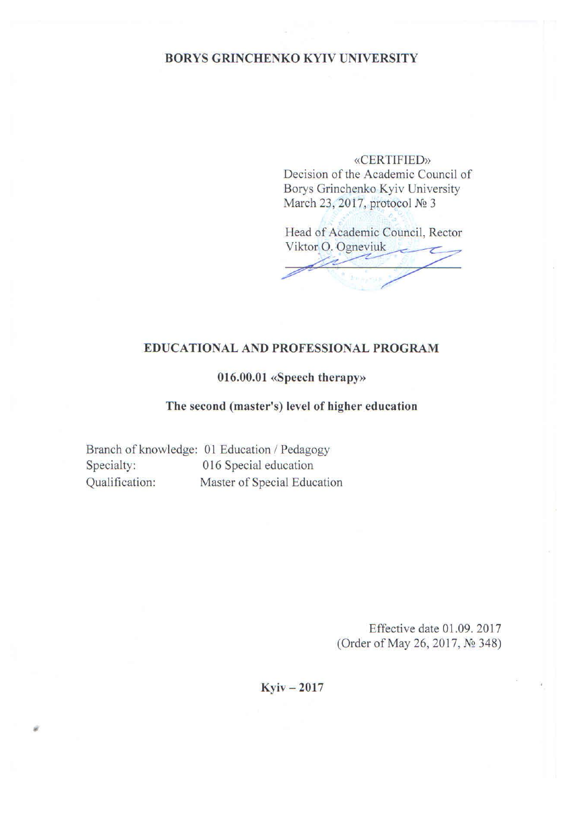### **BORYS GRINCHENKO KYIV UNIVERSITY**

**«CERTIFIED»** Decision of the Academic Council of Borys Grinchenko Kyiv University March 23, 2017, protocol № 3

Head of Academic Council, Rector Viktor O. Ogneviuk

### **EDUCATIONAL AND PROFESSIONAL PROGRAM**

### 016.00.01 «Speech therapy»

### The second (master's) level of higher education

Branch of knowledge: 01 Education / Pedagogy Specialty: 016 Special education Master of Special Education Qualification:

> Effective date 01.09. 2017 (Order of May 26, 2017, № 348)

### $Kyiv - 2017$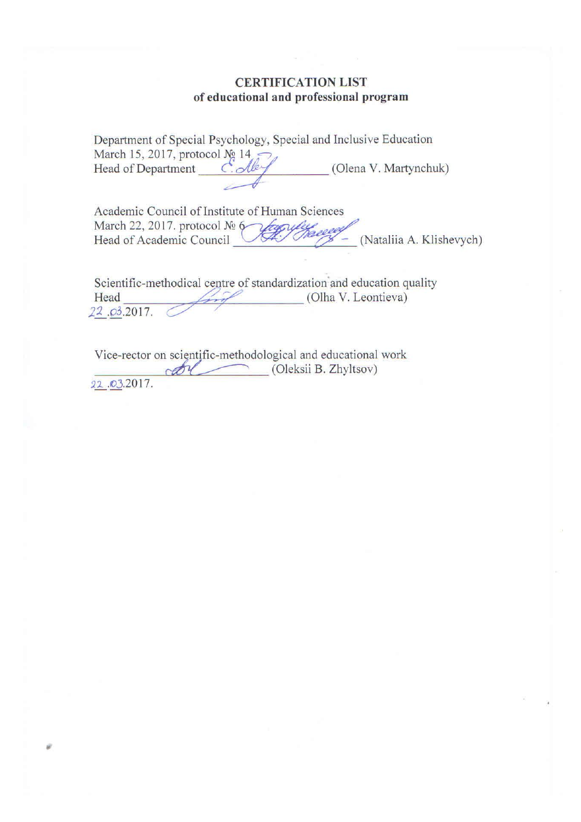### **CERTIFICATION LIST** of educational and professional program

|                                           |        | Department of Special Psychology, Special and Inclusive Education |
|-------------------------------------------|--------|-------------------------------------------------------------------|
| March 15, 2017, protocol $N_2$ 14, $\sim$ |        |                                                                   |
| Head of Department                        | Colley | (Olena V. Martynchuk)                                             |
|                                           |        |                                                                   |

Academic Council of Institute of Human Sciences March 22, 2017. protocol Nº 6<br>Head of Academic Council (Nataliia A. Klishevych)

Scientific-methodical centre of standardization and education quality (Olha V. Leontieva) Head 22.03.2017.

Vice-rector on scientific-methodological and educational work odel (Oleksii B. Zhyltsov) 22.03.2017.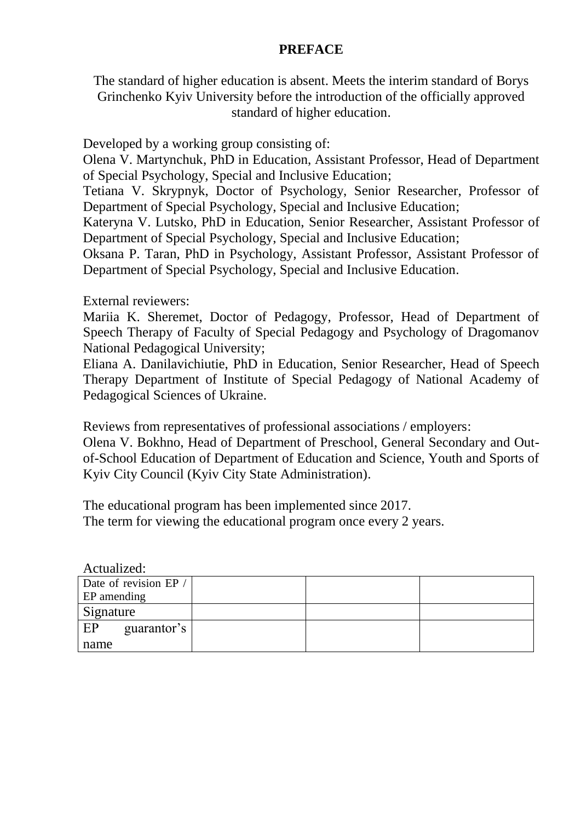### **PREFACE**

The standard of higher education is absent. Meets the interim standard of Borys Grinchenko Kyiv University before the introduction of the officially approved standard of higher education.

Developed by a working group consisting of:

Olena V. Martynchuk, PhD in Education, Assistant Professor, Head of Department of Special Psychology, Special and Inclusive Education;

Tetiana V. Skrypnyk, Doctor of Psychology, Senior Researcher, Professor of Department of Special Psychology, Special and Inclusive Education;

Kateryna V. Lutsko, PhD in Education, Senior Researcher, Assistant Professor of Department of Special Psychology, Special and Inclusive Education;

Oksana P. Taran, PhD in Psychology, Assistant Professor, Assistant Professor of Department of Special Psychology, Special and Inclusive Education.

External reviewers:

Mariia K. Sheremet, Doctor of Pedagogy, Professor, Head of Department of Speech Therapy of Faculty of Special Pedagogy and Psychology of Dragomanov National Pedagogical University;

Eliana A. Danilavichiutie, PhD in Education, Senior Researcher, Head of Speech Therapy Department of Institute of Special Pedagogy of National Academy of Pedagogical Sciences of Ukraine.

Reviews from representatives of professional associations / employers:

Olena V. Bokhno, Head of Department of Preschool, General Secondary and Outof-School Education of Department of Education and Science, Youth and Sports of Kyiv City Council (Kyiv City State Administration).

The educational program has been implemented since 2017. The term for viewing the educational program once every 2 years.

Actualized:

| Date of revision EP / |  |  |
|-----------------------|--|--|
| <b>EP</b> amending    |  |  |
| Signature             |  |  |
| EP<br>guarantor's     |  |  |
| name                  |  |  |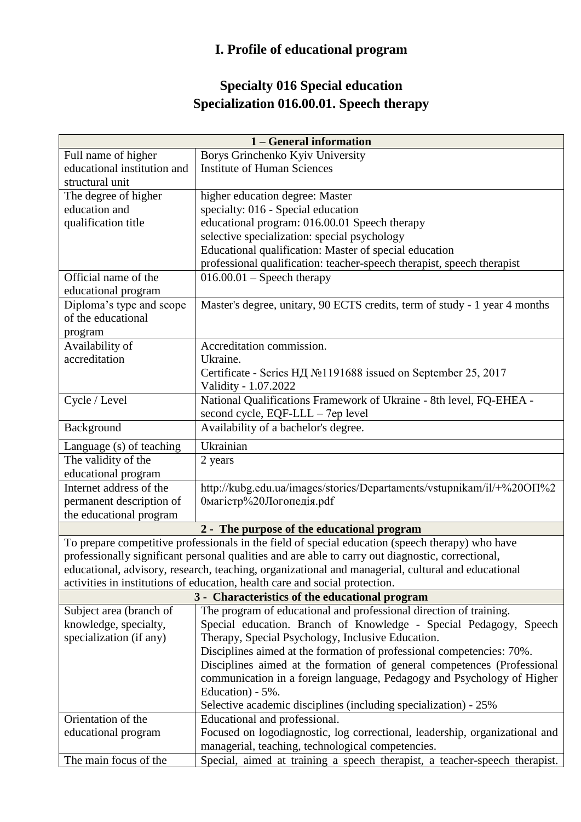## **I. Profile of educational program**

## **Specialty 016 Special education Specialization 016.00.01. Speech therapy**

| Borys Grinchenko Kyiv University<br>Full name of higher<br>educational institution and<br><b>Institute of Human Sciences</b>                          |
|-------------------------------------------------------------------------------------------------------------------------------------------------------|
|                                                                                                                                                       |
|                                                                                                                                                       |
| structural unit                                                                                                                                       |
| higher education degree: Master<br>The degree of higher                                                                                               |
| education and<br>specialty: 016 - Special education                                                                                                   |
| educational program: 016.00.01 Speech therapy<br>qualification title                                                                                  |
| selective specialization: special psychology                                                                                                          |
| Educational qualification: Master of special education                                                                                                |
| professional qualification: teacher-speech therapist, speech therapist                                                                                |
| Official name of the<br>$016.00.01$ – Speech therapy                                                                                                  |
| educational program                                                                                                                                   |
| Diploma's type and scope<br>Master's degree, unitary, 90 ECTS credits, term of study - 1 year 4 months                                                |
| of the educational                                                                                                                                    |
| program                                                                                                                                               |
| Accreditation commission.<br>Availability of                                                                                                          |
| accreditation<br>Ukraine.                                                                                                                             |
| Certificate - Series НД №1191688 issued on September 25, 2017                                                                                         |
| Validity - 1.07.2022                                                                                                                                  |
| National Qualifications Framework of Ukraine - 8th level, FQ-EHEA -<br>Cycle / Level                                                                  |
| second cycle, EQF-LLL - 7ep level                                                                                                                     |
| Availability of a bachelor's degree.<br>Background                                                                                                    |
| Ukrainian<br>Language (s) of teaching                                                                                                                 |
| The validity of the<br>2 years                                                                                                                        |
| educational program                                                                                                                                   |
| Internet address of the<br>http://kubg.edu.ua/images/stories/Departaments/vstupnikam/il/+%20OII%2                                                     |
| 0магістр%20Логопедія.pdf<br>permanent description of                                                                                                  |
| the educational program                                                                                                                               |
| 2 - The purpose of the educational program                                                                                                            |
| To prepare competitive professionals in the field of special education (speech therapy) who have                                                      |
| professionally significant personal qualities and are able to carry out diagnostic, correctional,                                                     |
| educational, advisory, research, teaching, organizational and managerial, cultural and educational                                                    |
| activities in institutions of education, health care and social protection.                                                                           |
| 3 - Characteristics of the educational program                                                                                                        |
| The program of educational and professional direction of training.<br>Subject area (branch of                                                         |
| Special education. Branch of Knowledge - Special Pedagogy, Speech<br>knowledge, specialty,                                                            |
| specialization (if any)<br>Therapy, Special Psychology, Inclusive Education.<br>Disciplines aimed at the formation of professional competencies: 70%. |
| Disciplines aimed at the formation of general competences (Professional                                                                               |
| communication in a foreign language, Pedagogy and Psychology of Higher                                                                                |
| Education) - 5%.                                                                                                                                      |
| Selective academic disciplines (including specialization) - 25%                                                                                       |
| Orientation of the<br>Educational and professional.                                                                                                   |
| Focused on logodiagnostic, log correctional, leadership, organizational and<br>educational program                                                    |
| managerial, teaching, technological competencies.                                                                                                     |
| The main focus of the<br>Special, aimed at training a speech therapist, a teacher-speech therapist.                                                   |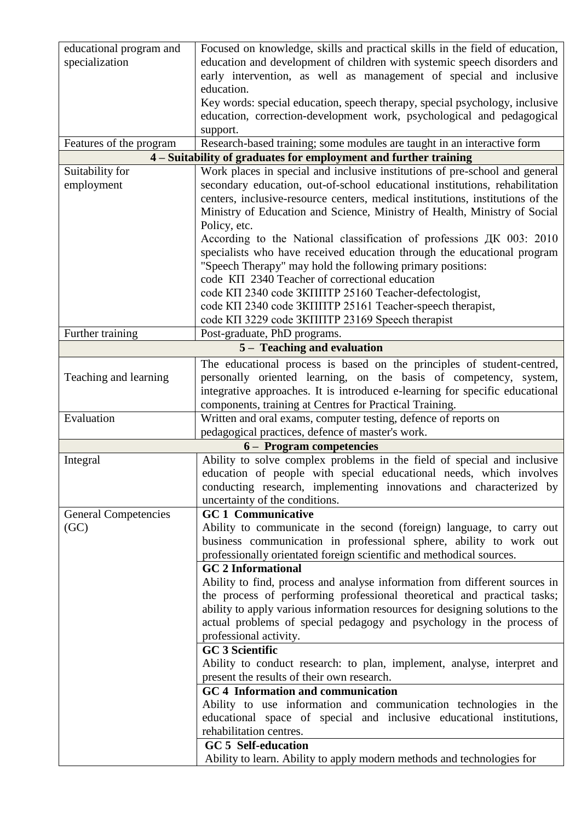| educational program and     | Focused on knowledge, skills and practical skills in the field of education,   |
|-----------------------------|--------------------------------------------------------------------------------|
| specialization              | education and development of children with systemic speech disorders and       |
|                             | early intervention, as well as management of special and inclusive             |
|                             | education.                                                                     |
|                             | Key words: special education, speech therapy, special psychology, inclusive    |
|                             | education, correction-development work, psychological and pedagogical          |
|                             | support.                                                                       |
| Features of the program     | Research-based training; some modules are taught in an interactive form        |
|                             | 4 - Suitability of graduates for employment and further training               |
| Suitability for             | Work places in special and inclusive institutions of pre-school and general    |
| employment                  | secondary education, out-of-school educational institutions, rehabilitation    |
|                             | centers, inclusive-resource centers, medical institutions, institutions of the |
|                             | Ministry of Education and Science, Ministry of Health, Ministry of Social      |
|                             | Policy, etc.                                                                   |
|                             | According to the National classification of professions ДК 003: 2010           |
|                             | specialists who have received education through the educational program        |
|                             | "Speech Therapy" may hold the following primary positions:                     |
|                             | code KII 2340 Teacher of correctional education                                |
|                             | code KII 2340 code 3KIIITP 25160 Teacher-defectologist,                        |
|                             | code KII 2340 code 3KIIIITP 25161 Teacher-speech therapist,                    |
|                             | code KII 3229 code 3KIIIITP 23169 Speech therapist                             |
| Further training            | Post-graduate, PhD programs.                                                   |
|                             | 5 – Teaching and evaluation                                                    |
|                             | The educational process is based on the principles of student-centred,         |
| Teaching and learning       | personally oriented learning, on the basis of competency, system,              |
|                             | integrative approaches. It is introduced e-learning for specific educational   |
|                             | components, training at Centres for Practical Training.                        |
| Evaluation                  | Written and oral exams, computer testing, defence of reports on                |
|                             | pedagogical practices, defence of master's work.                               |
|                             | 6 – Program competencies                                                       |
| Integral                    | Ability to solve complex problems in the field of special and inclusive        |
|                             | education of people with special educational needs, which involves             |
|                             | conducting research, implementing innovations and characterized by             |
|                             | uncertainty of the conditions.                                                 |
| <b>General Competencies</b> | <b>GC1</b> Communicative                                                       |
| (GC)                        | Ability to communicate in the second (foreign) language, to carry out          |
|                             | business communication in professional sphere, ability to work out             |
|                             | professionally orientated foreign scientific and methodical sources.           |
|                             | <b>GC 2 Informational</b>                                                      |
|                             | Ability to find, process and analyse information from different sources in     |
|                             | the process of performing professional theoretical and practical tasks;        |
|                             | ability to apply various information resources for designing solutions to the  |
|                             | actual problems of special pedagogy and psychology in the process of           |
|                             | professional activity.                                                         |
|                             | <b>GC 3 Scientific</b>                                                         |
|                             | Ability to conduct research: to plan, implement, analyse, interpret and        |
|                             | present the results of their own research.                                     |
|                             | GC 4 Information and communication                                             |
|                             | Ability to use information and communication technologies in the               |
|                             | educational space of special and inclusive educational institutions,           |
|                             | rehabilitation centres.                                                        |
|                             | <b>GC 5 Self-education</b>                                                     |
|                             | Ability to learn. Ability to apply modern methods and technologies for         |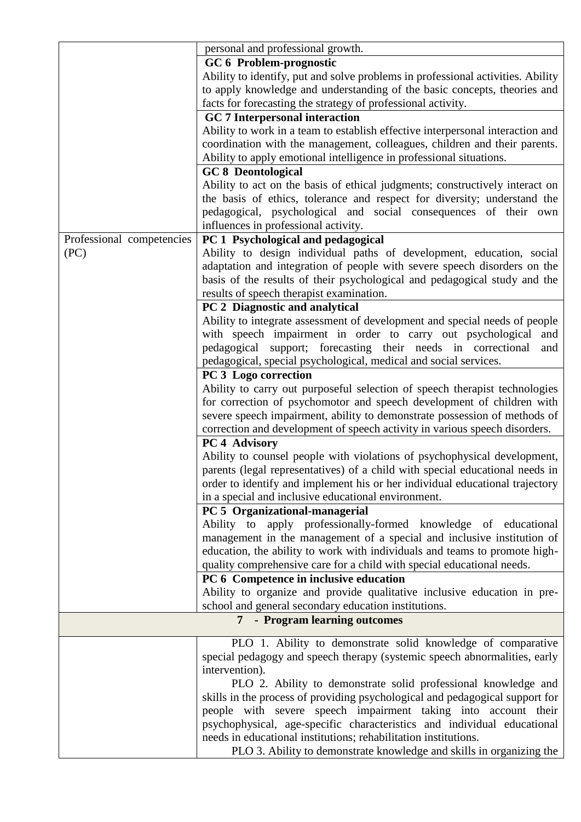|                           | personal and professional growth.                                               |
|---------------------------|---------------------------------------------------------------------------------|
|                           |                                                                                 |
|                           | GC 6 Problem-prognostic                                                         |
|                           | Ability to identify, put and solve problems in professional activities. Ability |
|                           | to apply knowledge and understanding of the basic concepts, theories and        |
|                           | facts for forecasting the strategy of professional activity.                    |
|                           | <b>GC</b> 7 Interpersonal interaction                                           |
|                           | Ability to work in a team to establish effective interpersonal interaction and  |
|                           | coordination with the management, colleagues, children and their parents.       |
|                           | Ability to apply emotional intelligence in professional situations.             |
|                           | <b>GC 8 Deontological</b>                                                       |
|                           | Ability to act on the basis of ethical judgments; constructively interact on    |
|                           | the basis of ethics, tolerance and respect for diversity; understand the        |
|                           | pedagogical, psychological and social consequences of their own                 |
|                           |                                                                                 |
|                           | influences in professional activity.                                            |
| Professional competencies | PC 1 Psychological and pedagogical                                              |
| (PC)                      | Ability to design individual paths of development, education, social            |
|                           | adaptation and integration of people with severe speech disorders on the        |
|                           | basis of the results of their psychological and pedagogical study and the       |
|                           | results of speech therapist examination.                                        |
|                           | PC 2 Diagnostic and analytical                                                  |
|                           | Ability to integrate assessment of development and special needs of people      |
|                           | with speech impairment in order to carry out psychological<br>and               |
|                           | pedagogical support; forecasting their needs in correctional<br>and             |
|                           |                                                                                 |
|                           | pedagogical, special psychological, medical and social services.                |
|                           | PC 3 Logo correction                                                            |
|                           | Ability to carry out purposeful selection of speech therapist technologies      |
|                           | for correction of psychomotor and speech development of children with           |
|                           | severe speech impairment, ability to demonstrate possession of methods of       |
|                           | correction and development of speech activity in various speech disorders.      |
|                           | PC <sub>4</sub> Advisory                                                        |
|                           | Ability to counsel people with violations of psychophysical development,        |
|                           | parents (legal representatives) of a child with special educational needs in    |
|                           | order to identify and implement his or her individual educational trajectory    |
|                           | in a special and inclusive educational environment.                             |
|                           | PC 5 Organizational-managerial                                                  |
|                           |                                                                                 |
|                           | Ability to apply professionally-formed knowledge of educational                 |
|                           | management in the management of a special and inclusive institution of          |
|                           | education, the ability to work with individuals and teams to promote high-      |
|                           | quality comprehensive care for a child with special educational needs.          |
|                           | PC 6 Competence in inclusive education                                          |
|                           | Ability to organize and provide qualitative inclusive education in pre-         |
|                           | school and general secondary education institutions.                            |
|                           | 7 - Program learning outcomes                                                   |
|                           | PLO 1. Ability to demonstrate solid knowledge of comparative                    |
|                           | special pedagogy and speech therapy (systemic speech abnormalities, early       |
|                           | intervention).                                                                  |
|                           | PLO 2. Ability to demonstrate solid professional knowledge and                  |
|                           | skills in the process of providing psychological and pedagogical support for    |
|                           |                                                                                 |
|                           | people with severe speech impairment taking into account their                  |
|                           | psychophysical, age-specific characteristics and individual educational         |
|                           | needs in educational institutions; rehabilitation institutions.                 |
|                           | PLO 3. Ability to demonstrate knowledge and skills in organizing the            |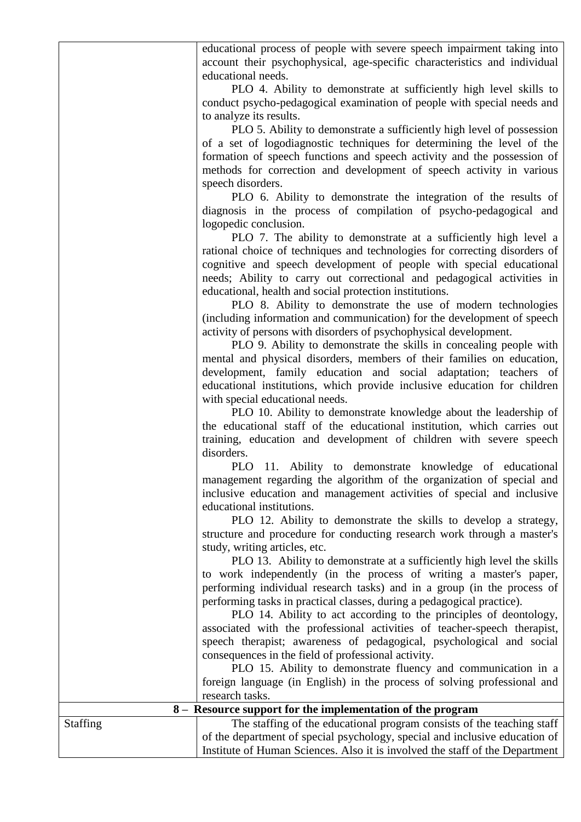educational process of people with severe speech impairment taking into account their psychophysical, age-specific characteristics and individual educational needs.

PLO 4. Ability to demonstrate at sufficiently high level skills to conduct psycho-pedagogical examination of people with special needs and to analyze its results.

PLO 5. Ability to demonstrate a sufficiently high level of possession of a set of logodiagnostic techniques for determining the level of the formation of speech functions and speech activity and the possession of methods for correction and development of speech activity in various speech disorders.

PLO 6. Ability to demonstrate the integration of the results of diagnosis in the process of compilation of psycho-pedagogical and logopedic conclusion.

PLO 7. The ability to demonstrate at a sufficiently high level a rational choice of techniques and technologies for correcting disorders of cognitive and speech development of people with special educational needs; Ability to carry out correctional and pedagogical activities in educational, health and social protection institutions.

PLO 8. Ability to demonstrate the use of modern technologies (including information and communication) for the development of speech activity of persons with disorders of psychophysical development.

PLO 9. Ability to demonstrate the skills in concealing people with mental and physical disorders, members of their families on education, development, family education and social adaptation; teachers of educational institutions, which provide inclusive education for children with special educational needs.

PLO 10. Ability to demonstrate knowledge about the leadership of the educational staff of the educational institution, which carries out training, education and development of children with severe speech disorders.

PLO 11. Ability to demonstrate knowledge of educational management regarding the algorithm of the organization of special and inclusive education and management activities of special and inclusive educational institutions.

PLO 12. Ability to demonstrate the skills to develop a strategy, structure and procedure for conducting research work through a master's study, writing articles, etc.

PLO 13. Ability to demonstrate at a sufficiently high level the skills to work independently (in the process of writing a master's paper, performing individual research tasks) and in a group (in the process of performing tasks in practical classes, during a pedagogical practice).

PLO 14. Ability to act according to the principles of deontology, associated with the professional activities of teacher-speech therapist, speech therapist; awareness of pedagogical, psychological and social consequences in the field of professional activity.

PLO 15. Ability to demonstrate fluency and communication in a foreign language (in English) in the process of solving professional and research tasks.

| 8 – Resource support for the implementation of the program |                                                                              |  |  |  |  |  |  |
|------------------------------------------------------------|------------------------------------------------------------------------------|--|--|--|--|--|--|
| <b>Staffing</b>                                            | The staffing of the educational program consists of the teaching staff       |  |  |  |  |  |  |
|                                                            | of the department of special psychology, special and inclusive education of  |  |  |  |  |  |  |
|                                                            | Institute of Human Sciences. Also it is involved the staff of the Department |  |  |  |  |  |  |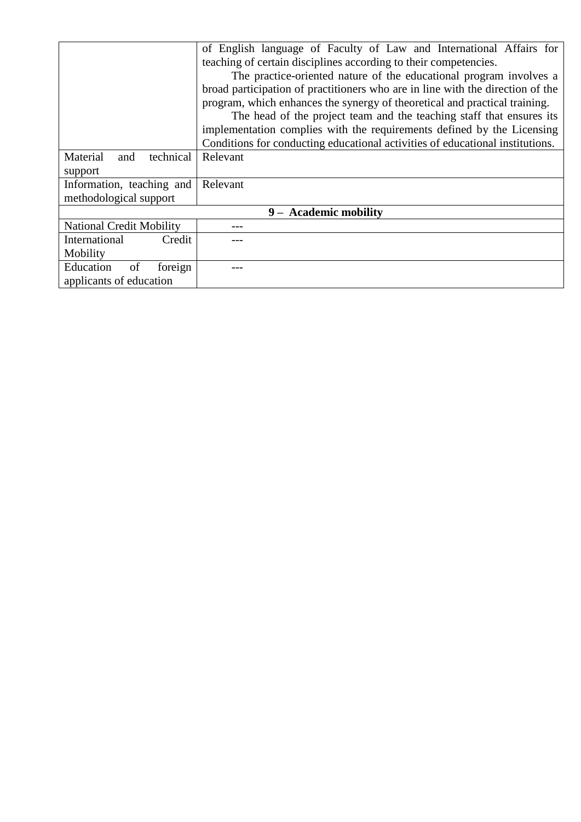|                                 | of English language of Faculty of Law and International Affairs for            |  |  |  |  |  |  |  |
|---------------------------------|--------------------------------------------------------------------------------|--|--|--|--|--|--|--|
|                                 | teaching of certain disciplines according to their competencies.               |  |  |  |  |  |  |  |
|                                 | The practice-oriented nature of the educational program involves a             |  |  |  |  |  |  |  |
|                                 | broad participation of practitioners who are in line with the direction of the |  |  |  |  |  |  |  |
|                                 | program, which enhances the synergy of theoretical and practical training.     |  |  |  |  |  |  |  |
|                                 | The head of the project team and the teaching staff that ensures its           |  |  |  |  |  |  |  |
|                                 | implementation complies with the requirements defined by the Licensing         |  |  |  |  |  |  |  |
|                                 | Conditions for conducting educational activities of educational institutions.  |  |  |  |  |  |  |  |
| Material<br>technical<br>and    | Relevant                                                                       |  |  |  |  |  |  |  |
| support                         |                                                                                |  |  |  |  |  |  |  |
| Information, teaching and       | Relevant                                                                       |  |  |  |  |  |  |  |
| methodological support          |                                                                                |  |  |  |  |  |  |  |
|                                 | 9 - Academic mobility                                                          |  |  |  |  |  |  |  |
| <b>National Credit Mobility</b> |                                                                                |  |  |  |  |  |  |  |
| International<br>Credit         |                                                                                |  |  |  |  |  |  |  |
| Mobility                        |                                                                                |  |  |  |  |  |  |  |
| foreign<br>Education<br>of      |                                                                                |  |  |  |  |  |  |  |
| applicants of education         |                                                                                |  |  |  |  |  |  |  |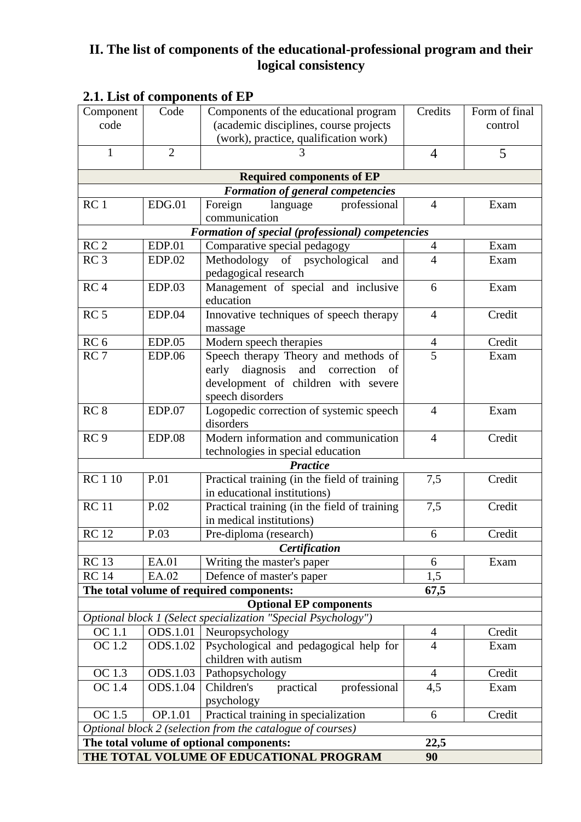## **II. The list of components of the educational-professional program and their logical consistency**

| <b>Extra Enst of components of Ex</b> | Code            | Components of the educational program                         | Credits        | Form of final |
|---------------------------------------|-----------------|---------------------------------------------------------------|----------------|---------------|
| Component                             |                 |                                                               |                |               |
| code                                  |                 | (academic disciplines, course projects                        |                | control       |
|                                       |                 | (work), practice, qualification work)                         |                |               |
| $\mathbf{1}$                          | $\overline{2}$  |                                                               | $\overline{4}$ | 5             |
|                                       |                 | <b>Required components of EP</b>                              |                |               |
|                                       |                 | <b>Formation of general competencies</b>                      |                |               |
| RC <sub>1</sub>                       | EDG.01          | professional<br>language<br>Foreign                           | $\overline{4}$ | Exam          |
|                                       |                 | communication                                                 |                |               |
|                                       |                 | Formation of special (professional) competencies              |                |               |
| RC <sub>2</sub>                       | <b>EDP.01</b>   | Comparative special pedagogy                                  | $\overline{4}$ | Exam          |
| RC <sub>3</sub>                       | <b>EDP.02</b>   | Methodology of psychological<br>and                           | $\overline{4}$ | Exam          |
|                                       |                 | pedagogical research                                          |                |               |
| RC <sub>4</sub>                       | EDP.03          | Management of special and inclusive                           | 6              | Exam          |
|                                       |                 | education                                                     |                |               |
| RC <sub>5</sub>                       | EDP.04          | Innovative techniques of speech therapy                       | $\overline{4}$ | Credit        |
|                                       |                 | massage                                                       |                |               |
| RC <sub>6</sub>                       | EDP.05          | Modern speech therapies                                       | $\overline{4}$ | Credit        |
| RC <sub>7</sub>                       | <b>EDP.06</b>   | Speech therapy Theory and methods of                          | 5              | Exam          |
|                                       |                 | early diagnosis and correction<br>of                          |                |               |
|                                       |                 | development of children with severe                           |                |               |
|                                       |                 | speech disorders                                              |                |               |
| RC <sub>8</sub>                       | EDP.07          | Logopedic correction of systemic speech                       | $\overline{4}$ | Exam          |
|                                       |                 | disorders                                                     |                |               |
| RC <sub>9</sub>                       | <b>EDP.08</b>   | Modern information and communication                          | $\overline{4}$ | Credit        |
|                                       |                 | technologies in special education                             |                |               |
|                                       |                 | <b>Practice</b>                                               |                |               |
| <b>RC110</b>                          | P.01            | Practical training (in the field of training                  | 7,5            | Credit        |
|                                       |                 | in educational institutions)                                  |                |               |
| <b>RC11</b>                           | P.02            | Practical training (in the field of training                  | 7,5            | Credit        |
|                                       |                 | in medical institutions)                                      |                |               |
| <b>RC</b> 12                          | P.03            | Pre-diploma (research)                                        | 6              | Credit        |
|                                       |                 | Certification                                                 |                |               |
| <b>RC13</b>                           | EA.01           | Writing the master's paper                                    | 6              | Exam          |
| <b>RC</b> 14                          | EA.02           | Defence of master's paper                                     | 1,5            |               |
|                                       |                 | The total volume of required components:                      | 67,5           |               |
|                                       |                 | <b>Optional EP components</b>                                 |                |               |
|                                       |                 | Optional block 1 (Select specialization "Special Psychology") |                |               |
| OC 1.1                                | <b>ODS.1.01</b> | Neuropsychology                                               | $\overline{4}$ | Credit        |
| OC 1.2                                | ODS.1.02        | Psychological and pedagogical help for                        | $\overline{4}$ | Exam          |
|                                       |                 | children with autism                                          |                |               |
| OC 1.3                                | ODS.1.03        | Pathopsychology                                               | $\overline{4}$ | Credit        |
| <b>OC</b> 1.4                         | <b>ODS.1.04</b> | Children's<br>professional<br>practical                       | 4,5            | Exam          |
|                                       |                 | psychology                                                    |                |               |
| OC 1.5                                | OP.1.01         | Practical training in specialization                          | 6              | Credit        |
|                                       |                 | Optional block 2 (selection from the catalogue of courses)    |                |               |
|                                       |                 | The total volume of optional components:                      | 22,5           |               |
|                                       |                 | THE TOTAL VOLUME OF EDUCATIONAL PROGRAM                       | 90             |               |

## **2.1. List of components of EP**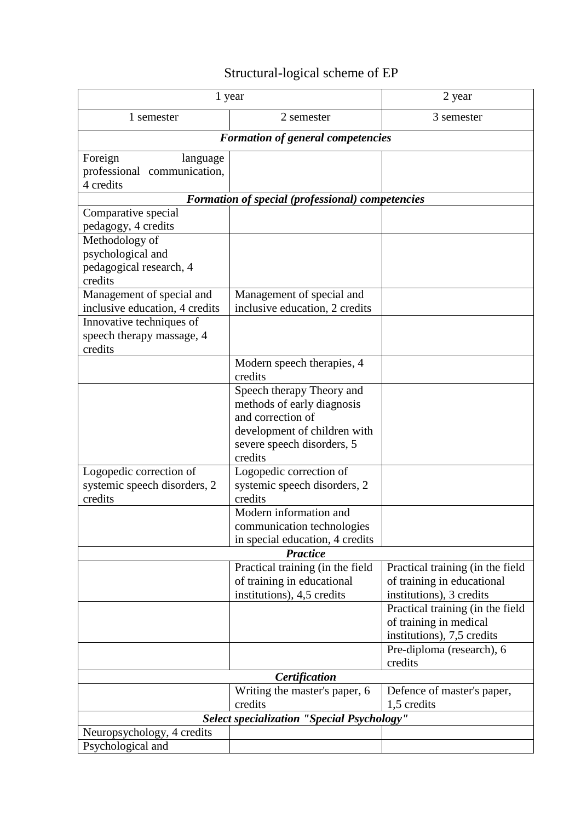| Structural-logical scheme of EP |  |
|---------------------------------|--|
|---------------------------------|--|

|                                                                                                                                            | 1 year                                                                                                                                                | 2 year                                                                                                                         |  |  |  |  |
|--------------------------------------------------------------------------------------------------------------------------------------------|-------------------------------------------------------------------------------------------------------------------------------------------------------|--------------------------------------------------------------------------------------------------------------------------------|--|--|--|--|
| 1 semester                                                                                                                                 | 2 semester                                                                                                                                            | 3 semester                                                                                                                     |  |  |  |  |
|                                                                                                                                            | <b>Formation of general competencies</b>                                                                                                              |                                                                                                                                |  |  |  |  |
| Foreign<br>language<br>professional communication,<br>4 credits                                                                            |                                                                                                                                                       |                                                                                                                                |  |  |  |  |
|                                                                                                                                            | Formation of special (professional) competencies                                                                                                      |                                                                                                                                |  |  |  |  |
| Comparative special<br>pedagogy, 4 credits<br>Methodology of<br>psychological and<br>pedagogical research, 4                               |                                                                                                                                                       |                                                                                                                                |  |  |  |  |
| credits<br>Management of special and<br>inclusive education, 4 credits<br>Innovative techniques of<br>speech therapy massage, 4<br>credits | Management of special and<br>inclusive education, 2 credits                                                                                           |                                                                                                                                |  |  |  |  |
|                                                                                                                                            | Modern speech therapies, 4<br>credits                                                                                                                 |                                                                                                                                |  |  |  |  |
|                                                                                                                                            | Speech therapy Theory and<br>methods of early diagnosis<br>and correction of<br>development of children with<br>severe speech disorders, 5<br>credits |                                                                                                                                |  |  |  |  |
| Logopedic correction of<br>systemic speech disorders, 2<br>credits                                                                         | Logopedic correction of<br>systemic speech disorders, 2<br>credits<br>Modern information and                                                          |                                                                                                                                |  |  |  |  |
|                                                                                                                                            | communication technologies<br>in special education, 4 credits                                                                                         |                                                                                                                                |  |  |  |  |
|                                                                                                                                            | <b>Practice</b>                                                                                                                                       |                                                                                                                                |  |  |  |  |
|                                                                                                                                            | Practical training (in the field<br>of training in educational<br>institutions), 4,5 credits                                                          | Practical training (in the field<br>of training in educational<br>institutions), 3 credits<br>Practical training (in the field |  |  |  |  |
|                                                                                                                                            |                                                                                                                                                       | of training in medical<br>institutions), 7,5 credits                                                                           |  |  |  |  |
|                                                                                                                                            |                                                                                                                                                       | Pre-diploma (research), 6<br>credits                                                                                           |  |  |  |  |
|                                                                                                                                            | Certification                                                                                                                                         |                                                                                                                                |  |  |  |  |
|                                                                                                                                            | Writing the master's paper, 6<br>credits                                                                                                              | Defence of master's paper,<br>1,5 credits                                                                                      |  |  |  |  |
|                                                                                                                                            | <b>Select specialization "Special Psychology"</b>                                                                                                     |                                                                                                                                |  |  |  |  |
| Neuropsychology, 4 credits<br>Psychological and                                                                                            |                                                                                                                                                       |                                                                                                                                |  |  |  |  |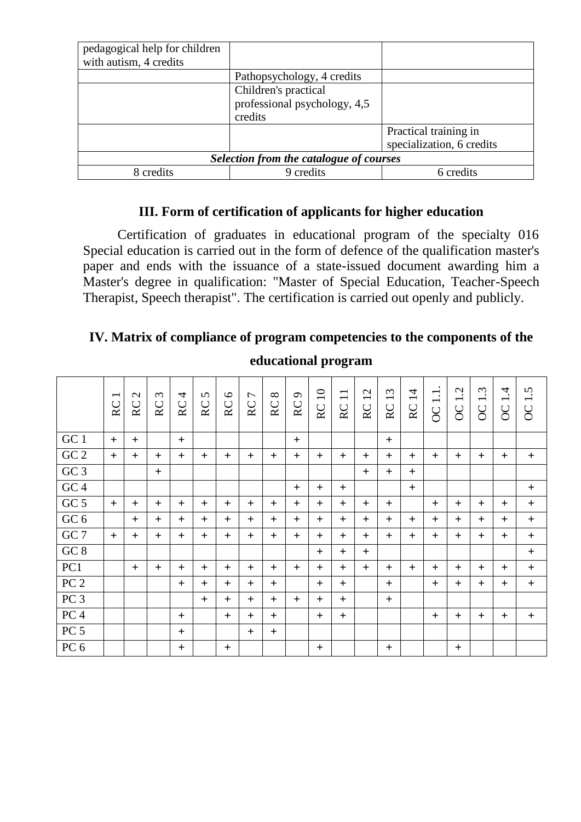| pedagogical help for children<br>with autism, 4 credits |                                                                 |                                                    |  |  |  |  |  |  |  |
|---------------------------------------------------------|-----------------------------------------------------------------|----------------------------------------------------|--|--|--|--|--|--|--|
|                                                         | Pathopsychology, 4 credits                                      |                                                    |  |  |  |  |  |  |  |
|                                                         | Children's practical<br>professional psychology, 4,5<br>credits |                                                    |  |  |  |  |  |  |  |
|                                                         |                                                                 | Practical training in<br>specialization, 6 credits |  |  |  |  |  |  |  |
| Selection from the catalogue of courses                 |                                                                 |                                                    |  |  |  |  |  |  |  |
| 8 credits                                               | 9 credits                                                       | 6 credits                                          |  |  |  |  |  |  |  |

## **III. Form of certification of applicants for higher education**

Certification of graduates in educational program of the specialty 016 Special education is carried out in the form of defence of the qualification master's paper and ends with the issuance of a state-issued document awarding him a Master's degree in qualification: "Master of Special Education, Teacher-Speech Therapist, Speech therapist". The certification is carried out openly and publicly.

# **IV. Matrix of compliance of program competencies to the components of the**

|                 | RC  | $\mathbf{C}$<br>RC | $\mathfrak{c}$<br>RC | $\overline{4}$<br>RC | $\Omega$<br>RC | $\circ$<br>$\rm RC$ | $\overline{ }$<br>$\rm RC$ | $\infty$<br>RC | $\sigma$<br>$\rm RC$ | 10<br>RC | $\overline{\phantom{0}}$<br>$\overline{\phantom{0}}$<br>$\mathsf{R}\mathsf{C}$ | $\mathbf{\Omega}$<br>$\div$<br>RC | $\omega$<br>$\overline{\phantom{0}}$<br>$\rm RC$ | $\overline{1}$<br>$\rm RC$ | $\Box$<br><b>OC</b> | Ċ,<br>$\overline{\phantom{0}}$<br>$\overline{OC}$ | $\dot{\omega}$<br>$\overline{\phantom{0}}$<br>$\overline{OC}$ | 4.<br>$\overline{\phantom{a}}$<br>$\overline{OC}$ | Ċ<br>OC <sub>1</sub> |
|-----------------|-----|--------------------|----------------------|----------------------|----------------|---------------------|----------------------------|----------------|----------------------|----------|--------------------------------------------------------------------------------|-----------------------------------|--------------------------------------------------|----------------------------|---------------------|---------------------------------------------------|---------------------------------------------------------------|---------------------------------------------------|----------------------|
| $\rm GC$ $1$    | $+$ | $\pm$              |                      | $+$                  |                |                     |                            |                | $+$                  |          |                                                                                |                                   | $+$                                              |                            |                     |                                                   |                                                               |                                                   |                      |
| GC <sub>2</sub> | $+$ | $\pm$              | $^{+}$               | $\pm$                | $+$            | $+$                 | $+$                        | $+$            | $+$                  | $+$      | $+$                                                                            | $\ddot{}$                         | $+$                                              | $+$                        | $\pm$               | $^{+}$                                            | $\pm$                                                         | $\ddot{}$                                         | $\pm$                |
| GC <sub>3</sub> |     |                    | $+$                  |                      |                |                     |                            |                |                      |          |                                                                                | $+$                               | $+$                                              | $+$                        |                     |                                                   |                                                               |                                                   |                      |
| GC <sub>4</sub> |     |                    |                      |                      |                |                     |                            |                | $+$                  | $+$      | $+$                                                                            |                                   |                                                  | $+$                        |                     |                                                   |                                                               |                                                   | $\ddot{}$            |
| GC <sub>5</sub> | $+$ | $+$                | $+$                  | $^{+}$               | $+$            | $+$                 | $+$                        | $+$            | $+$                  | $+$      | $+$                                                                            | $+$                               | $+$                                              |                            | $+$                 | $+$                                               | $+$                                                           | $+$                                               | $+$                  |
| GC <sub>6</sub> |     | $+$                | $+$                  | $\ddot{}$            | $+$            | $+$                 | $+$                        | $+$            | $+$                  | $+$      | $+$                                                                            | $+$                               | $+$                                              | $+$                        | $\pm$               | $^{+}$                                            | $+$                                                           | $+$                                               | $+$                  |
| GC <sub>7</sub> | $+$ | $+$                | $+$                  | $+$                  | $+$            | $+$                 | $+$                        | $+$            | $+$                  | $+$      | $+$                                                                            | $+$                               | $+$                                              | $+$                        | $+$                 | $+$                                               | $+$                                                           | $+$                                               | $+$                  |
| $GC\ 8$         |     |                    |                      |                      |                |                     |                            |                |                      | $+$      | $+$                                                                            | $+$                               |                                                  |                            |                     |                                                   |                                                               |                                                   | $\ddot{}$            |
| PC1             |     | $+$                | $+$                  | $+$                  | $+$            | $+$                 | $+$                        | $+$            | $+$                  | $+$      | $+$                                                                            | $+$                               | $+$                                              | $+$                        | $+$                 | $+$                                               | $+$                                                           | $+$                                               | $\ddot{}$            |
| PC <sub>2</sub> |     |                    |                      | $^{+}$               | $+$            | $+$                 | $+$                        | $+$            |                      | $+$      | $+$                                                                            |                                   | $+$                                              |                            | $+$                 | $+$                                               | $\pm$                                                         | $+$                                               | $\ddot{}$            |
| PC <sub>3</sub> |     |                    |                      |                      | $+$            | $+$                 | $+$                        | $+$            | $+$                  | $+$      | $+$                                                                            |                                   | $+$                                              |                            |                     |                                                   |                                                               |                                                   |                      |
| PC <sub>4</sub> |     |                    |                      | $+$                  |                | $+$                 | $+$                        | $+$            |                      | $+$      | $+$                                                                            |                                   |                                                  |                            | $+$                 | $+$                                               | $+$                                                           | $+$                                               | $\ddot{}$            |
| PC <sub>5</sub> |     |                    |                      | $+$                  |                |                     | $+$                        | $+$            |                      |          |                                                                                |                                   |                                                  |                            |                     |                                                   |                                                               |                                                   |                      |
| PC <sub>6</sub> |     |                    |                      | $+$                  |                | $+$                 |                            |                |                      | $+$      |                                                                                |                                   | $+$                                              |                            |                     | $+$                                               |                                                               |                                                   |                      |

## **educational program**